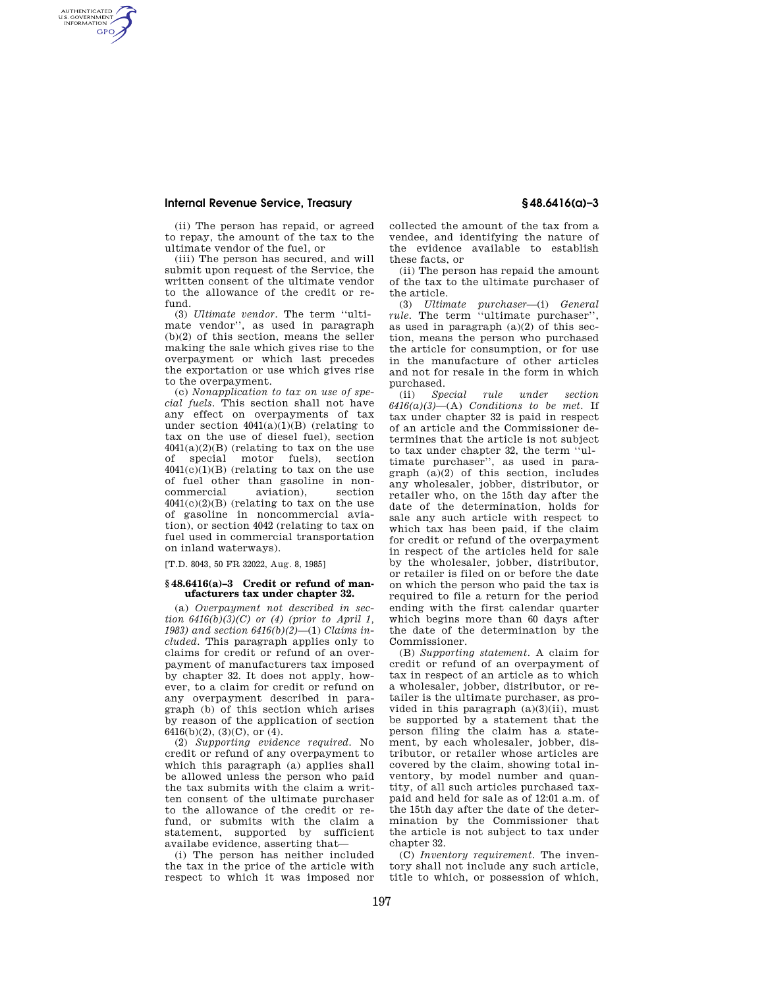## **Internal Revenue Service, Treasury § 48.6416(a)–3**

AUTHENTICATED<br>U.S. GOVERNMENT<br>INFORMATION **GPO** 

> (ii) The person has repaid, or agreed to repay, the amount of the tax to the ultimate vendor of the fuel, or

> (iii) The person has secured, and will submit upon request of the Service, the written consent of the ultimate vendor to the allowance of the credit or refund.

> (3) *Ultimate vendor.* The term ''ultimate vendor'', as used in paragraph (b)(2) of this section, means the seller making the sale which gives rise to the overpayment or which last precedes the exportation or use which gives rise to the overpayment.

> (c) *Nonapplication to tax on use of special fuels.* This section shall not have any effect on overpayments of tax under section  $4041(a)(1)(B)$  (relating to tax on the use of diesel fuel), section  $4041(a)(2)(B)$  (relating to tax on the use of special motor fuels), section  $4041(c)(1)(B)$  (relating to tax on the use of fuel other than gasoline in noncommercial aviation), section  $4041(c)(2)(B)$  (relating to tax on the use of gasoline in noncommercial aviation), or section 4042 (relating to tax on fuel used in commercial transportation on inland waterways).

[T.D. 8043, 50 FR 32022, Aug. 8, 1985]

## **§ 48.6416(a)–3 Credit or refund of manufacturers tax under chapter 32.**

(a) *Overpayment not described in section 6416(b)(3)(C) or (4) (prior to April 1, 1983) and section 6416(b)(2)*—(1) *Claims included.* This paragraph applies only to claims for credit or refund of an overpayment of manufacturers tax imposed by chapter 32. It does not apply, however, to a claim for credit or refund on any overpayment described in paragraph (b) of this section which arises by reason of the application of section 6416(b)(2), (3)(C), or  $(4)$ .

(2) *Supporting evidence required.* No credit or refund of any overpayment to which this paragraph (a) applies shall be allowed unless the person who paid the tax submits with the claim a written consent of the ultimate purchaser to the allowance of the credit or refund, or submits with the claim a statement, supported by sufficient availabe evidence, asserting that—

(i) The person has neither included the tax in the price of the article with respect to which it was imposed nor collected the amount of the tax from a vendee, and identifying the nature of the evidence available to establish these facts, or

(ii) The person has repaid the amount of the tax to the ultimate purchaser of the article.

(3) *Ultimate purchaser*—(i) *General rule.* The term ''ultimate purchaser'', as used in paragraph  $(a)(2)$  of this section, means the person who purchased the article for consumption, or for use in the manufacture of other articles and not for resale in the form in which purchased.

(ii) *Special rule under section*   $6416(a)(3)$ —(A) *Conditions to be met.* If tax under chapter 32 is paid in respect of an article and the Commissioner determines that the article is not subject to tax under chapter 32, the term ''ultimate purchaser'', as used in paragraph (a)(2) of this section, includes any wholesaler, jobber, distributor, or retailer who, on the 15th day after the date of the determination, holds for sale any such article with respect to which tax has been paid, if the claim for credit or refund of the overpayment in respect of the articles held for sale by the wholesaler, jobber, distributor, or retailer is filed on or before the date on which the person who paid the tax is required to file a return for the period ending with the first calendar quarter which begins more than 60 days after the date of the determination by the Commissioner.

(B) *Supporting statement.* A claim for credit or refund of an overpayment of tax in respect of an article as to which a wholesaler, jobber, distributor, or retailer is the ultimate purchaser, as provided in this paragraph (a)(3)(ii), must be supported by a statement that the person filing the claim has a statement, by each wholesaler, jobber, distributor, or retailer whose articles are covered by the claim, showing total inventory, by model number and quantity, of all such articles purchased taxpaid and held for sale as of 12:01 a.m. of the 15th day after the date of the determination by the Commissioner that the article is not subject to tax under chapter 32.

(C) *Inventory requirement.* The inventory shall not include any such article, title to which, or possession of which,